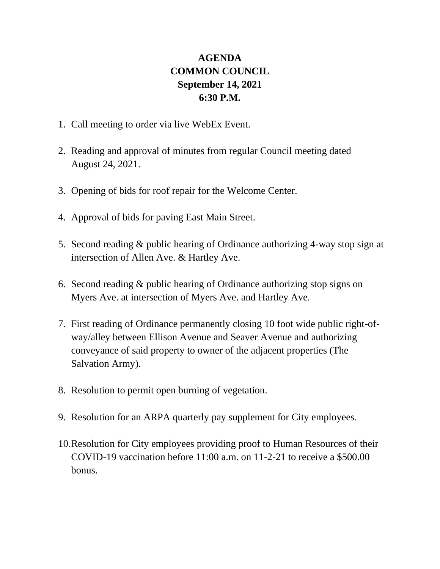## **AGENDA COMMON COUNCIL September 14, 2021 6:30 P.M.**

- 1. Call meeting to order via live WebEx Event.
- 2. Reading and approval of minutes from regular Council meeting dated August 24, 2021.
- 3. Opening of bids for roof repair for the Welcome Center.
- 4. Approval of bids for paving East Main Street.
- 5. Second reading & public hearing of Ordinance authorizing 4-way stop sign at intersection of Allen Ave. & Hartley Ave.
- 6. Second reading & public hearing of Ordinance authorizing stop signs on Myers Ave. at intersection of Myers Ave. and Hartley Ave.
- 7. First reading of Ordinance permanently closing 10 foot wide public right-ofway/alley between Ellison Avenue and Seaver Avenue and authorizing conveyance of said property to owner of the adjacent properties (The Salvation Army).
- 8. Resolution to permit open burning of vegetation.
- 9. Resolution for an ARPA quarterly pay supplement for City employees.
- 10.Resolution for City employees providing proof to Human Resources of their COVID-19 vaccination before 11:00 a.m. on 11-2-21 to receive a \$500.00 bonus.